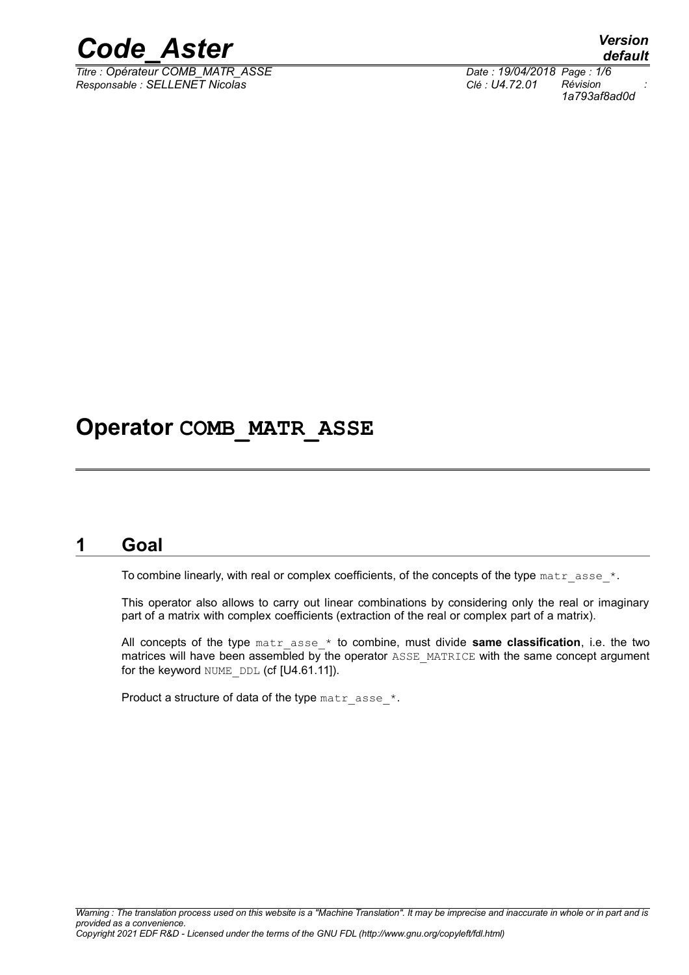

*Titre : Opérateur COMB\_MATR\_ASSE Date : 19/04/2018 Page : 1/6 Responsable : SELLENET Nicolas Clé : U4.72.01 Révision :*

*default 1a793af8ad0d*

## **Operator COMB\_MATR\_ASSE**

#### **1 Goal**

To combine linearly, with real or complex coefficients, of the concepts of the type  $\text{matr } \text{ asset } *$ .

This operator also allows to carry out linear combinations by considering only the real or imaginary part of a matrix with complex coefficients (extraction of the real or complex part of a matrix).

All concepts of the type matr\_asse\_\* to combine, must divide **same classification**, i.e. the two matrices will have been assembled by the operator ASSE\_MATRICE with the same concept argument for the keyword NUME DDL (cf [U4.61.11]).

Product a structure of data of the type matr asse  $*$ .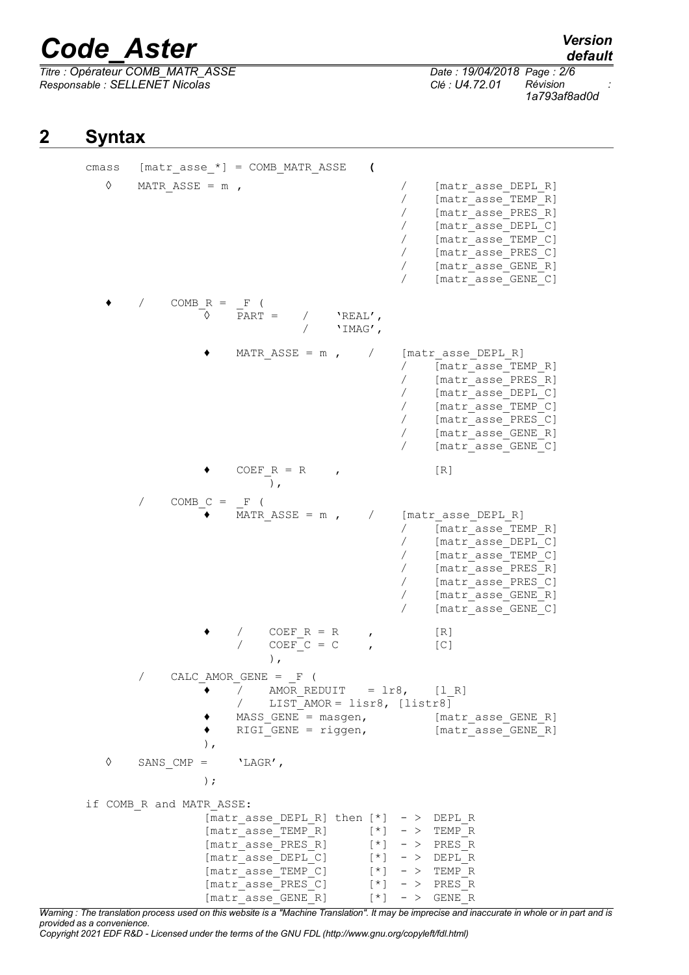*Titre : Opérateur COMB\_MATR\_ASSE Date : 19/04/2018 Page : 2/6 Responsable : SELLENET Nicolas Clé : U4.72.01 Révision :*

*default*

*1a793af8ad0d*

## **2 Syntax**

| cmass |   | $[\text{matr\_asse-*}] = \text{COMB}\_\text{MATR}\_\text{ASSE}$ |                                   |          |                                        |            |                       | €            |                                                                                       |                                                                                                                                                                                                                                                                                                                                                                                                                        |
|-------|---|-----------------------------------------------------------------|-----------------------------------|----------|----------------------------------------|------------|-----------------------|--------------|---------------------------------------------------------------------------------------|------------------------------------------------------------------------------------------------------------------------------------------------------------------------------------------------------------------------------------------------------------------------------------------------------------------------------------------------------------------------------------------------------------------------|
|       | ♦ | MATR ASSE = $m$ ,                                               |                                   |          |                                        |            |                       |              | $\sqrt{2}$<br>Γ<br>$\sqrt{2}$<br>$\sqrt{2}$<br>$\sqrt{2}$<br>$\sqrt{2}$<br>$\sqrt{2}$ | [matr asse DEPL R]<br>[matr asse TEMP R]<br>[matr asse PRES R]<br>[matr asse DEPL C]<br>[matr asse TEMP C]<br>[matr asse PRES C]<br>[matr asse GENE R]<br>[matr asse GENE C]                                                                                                                                                                                                                                           |
|       |   | $\sqrt{2}$                                                      | COMB $R = F$ (<br>♦               | $PART =$ |                                        | $\sqrt{2}$ | $'REAL'$ ,<br>'IMAG', |              |                                                                                       |                                                                                                                                                                                                                                                                                                                                                                                                                        |
|       |   |                                                                 |                                   |          | MATR ASSE = $m$ ,                      |            |                       | $\sqrt{2}$   | Γ<br>$\sqrt{2}$<br>$\sqrt{2}$<br>$\sqrt{2}$<br>$\sqrt{2}$                             | [matr asse DEPL R]<br>[matr asse TEMP R]<br>[matr asse PRES R]<br>[matr asse DEPL C]<br>[matr asse TEMP C]<br>[matr asse PRES C]<br>[matr asse GENE R]<br>[matr asse GENE C]                                                                                                                                                                                                                                           |
|       |   |                                                                 |                                   |          | $COEF R = R$<br>$\,$ ,                 |            |                       |              |                                                                                       | [R]                                                                                                                                                                                                                                                                                                                                                                                                                    |
|       |   |                                                                 | COMB $C = F$ (                    |          | MATR ASSE = $m$ ,                      |            |                       | $\sqrt{2}$   | $\sqrt{2}$<br>$\sqrt{2}$<br>$\sqrt{2}$<br>$\sqrt{2}$<br>$\sqrt{2}$                    | [matr asse DEPL R]<br>[matr asse TEMP R]<br>[matr asse DEPL C]<br>[matr asse TEMP_C]<br>[matr asse PRES R]<br>[matr asse PRES C]<br>[matr asse GENE R]<br>[matr asse GENE C]                                                                                                                                                                                                                                           |
|       |   |                                                                 |                                   |          | COEF $R = R$<br>$COEF C = C$<br>$\,$ , |            |                       | $\mathbf{r}$ |                                                                                       | [R]<br>$[{\mathbb C}]$                                                                                                                                                                                                                                                                                                                                                                                                 |
|       |   | $\sqrt{2}$                                                      | CALC AMOR GENE = $_F$ (<br>$\,$ , |          |                                        |            |                       |              | $\overline{1}$ AMOR REDUIT = 1r8, [1_R]<br>/ LIST AMOR = lisr8, [listr8]              | MASS GENE = masgen, [matr asse GENE R]<br>RIGI GENE = riggen, [matr asse GENE R]                                                                                                                                                                                                                                                                                                                                       |
|       | ♦ | SANS $CMP =$ 'LAGR',                                            |                                   |          |                                        |            |                       |              |                                                                                       |                                                                                                                                                                                                                                                                                                                                                                                                                        |
|       |   | if COMB R and MATR ASSE:                                        | $)$ ;                             |          | [matr asse GENE R]                     |            |                       |              |                                                                                       | [matr asse DEPL R] then $[*] - >$ DEPL R<br>[matr asse TEMP R] $[*]$ - > TEMP R<br>$[\text{matr}\_asse\_PRES\_R]$ $[*]$ -> PRES_R<br>$[\text{matr} \ \overline{\text{asset}} \ \overline{\text{DEPL}} \ \overline{\text{CI}}] \qquad [\star] \ - \ \gt \ \ \overline{\text{DEPL}} \ \overline{\text{R}}$<br>[matr asse TEMP C] $[*]$ - > TEMP R<br>$[matrix\_asse\_PRES C]$ $[ * ]$ - > PRES R<br>$[\star]$ - > GENE R |

*Warning : The translation process used on this website is a "Machine Translation". It may be imprecise and inaccurate in whole or in part and is provided as a convenience.*

*Copyright 2021 EDF R&D - Licensed under the terms of the GNU FDL (http://www.gnu.org/copyleft/fdl.html)*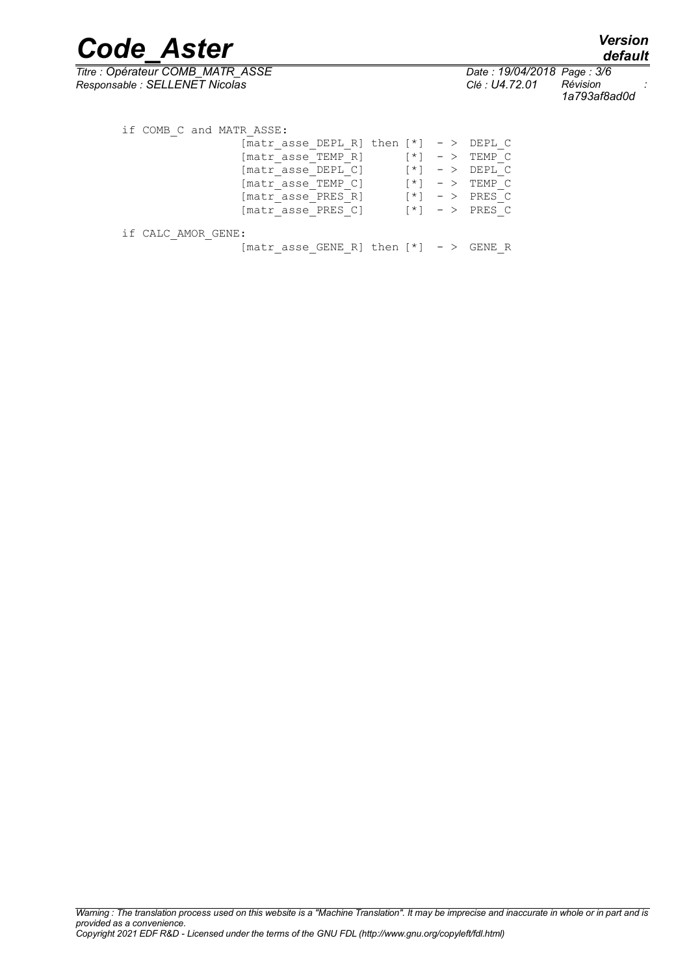*Titre : Opérateur COMB\_MATR\_ASSE Date : 19/04/2018 Page : 3/6 Responsable : SELLENET Nicolas* 

*1a793af8ad0d*

|                    | [matr asse DEPL R] then $\lceil * \rceil$ - > DEPL C |  |                              |
|--------------------|------------------------------------------------------|--|------------------------------|
|                    | [matr asse TEMP R]                                   |  | $\lceil * \rceil$ - > TEMP C |
|                    | [matr asse DEPL C]                                   |  | $\lceil * \rceil$ - > DEPL C |
|                    | [matr asse TEMP C]                                   |  | $\lceil * \rceil$ - > TEMP C |
|                    | [matr asse PRES R]                                   |  | $\lceil * \rceil$ - > PRES C |
|                    | [matr asse PRES C]                                   |  | $\lceil * \rceil$ - > PRES C |
| if CALC AMOR GENE: |                                                      |  |                              |
|                    | [matr asse GENE R] then $\lceil * \rceil$ - > GENE R |  |                              |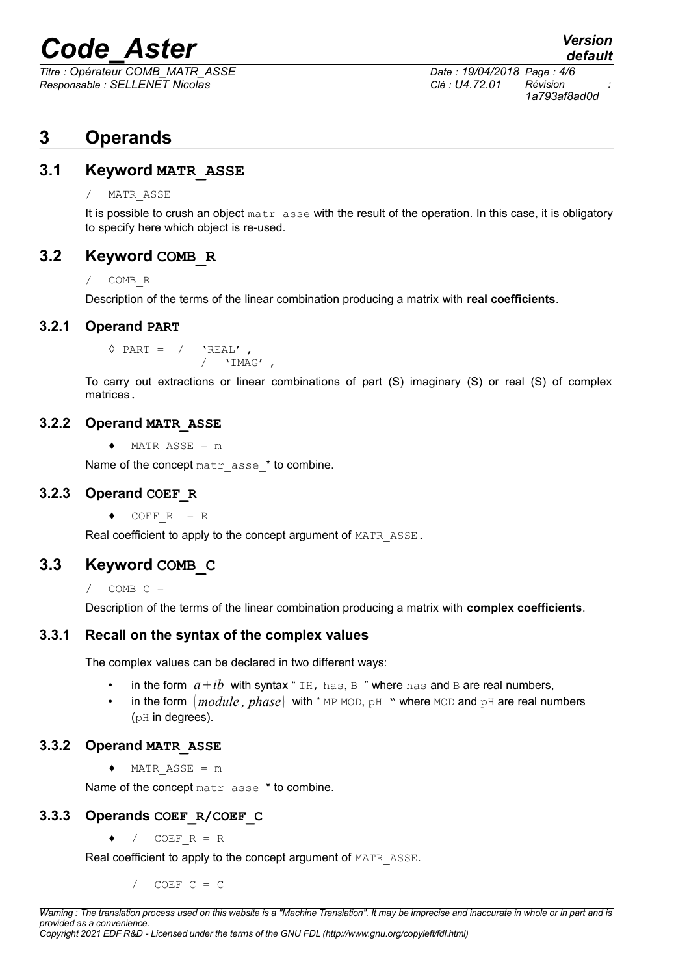*Titre : Opérateur COMB\_MATR\_ASSE Date : 19/04/2018 Page : 4/6 Responsable : SELLENET Nicolas Clé : U4.72.01 Révision :*

*1a793af8ad0d*

### **3 Operands**

#### **3.1 Keyword MATR\_ASSE**

#### / MATR\_ASSE

It is possible to crush an object  $\text{matrix}$  asse with the result of the operation. In this case, it is obligatory to specify here which object is re-used.

#### **3.2 Keyword COMB\_R**

/ COMB\_R

Description of the terms of the linear combination producing a matrix with **real coefficients**.

#### **3.2.1 Operand PART**

 $\Diamond$  PART = /  $'$ REAL',  $\overline{1}$  'IMAG',

To carry out extractions or linear combinations of part (S) imaginary (S) or real (S) of complex matrices.

#### **3.2.2 Operand MATR\_ASSE**

♦ MATR\_ASSE = m

Name of the concept matr asse \* to combine.

#### **3.2.3 Operand COEF\_R**

 $\triangleleft$  COEFR = R

Real coefficient to apply to the concept argument of MATR\_ASSE.

#### **3.3 Keyword COMB\_C**

 $/$  COMB C =

Description of the terms of the linear combination producing a matrix with **complex coefficients**.

#### **3.3.1 Recall on the syntax of the complex values**

The complex values can be declared in two different ways:

- in the form  $a+ib$  with syntax " IH, has, B " where has and B are real numbers,
- in the form  $\langle module, phase \rangle$  with " MP MOD,  $pH$  " where MOD and  $pH$  are real numbers (pH in degrees).

#### **3.3.2 Operand MATR\_ASSE**

 $\triangleleft$  MATR ASSE = m

Name of the concept matr asse \* to combine.

#### **3.3.3 Operands COEF\_R/COEF\_C**

 $\bullet$  / COEF R = R

Real coefficient to apply to the concept argument of MATR ASSE.

/  $COEF$   $C = C$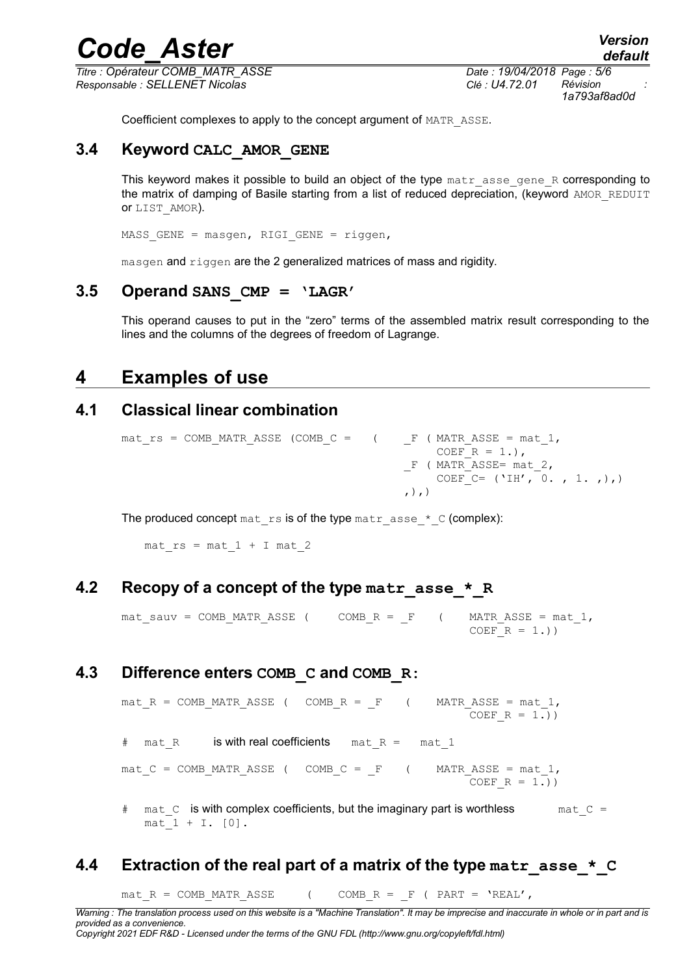*Titre : Opérateur COMB\_MATR\_ASSE Date : 19/04/2018 Page : 5/6 Responsable : SELLENET Nicolas Clé : U4.72.01 Révision :*

*1a793af8ad0d*

Coefficient complexes to apply to the concept argument of MATR\_ASSE.

#### **3.4 Keyword CALC\_AMOR\_GENE**

This keyword makes it possible to build an object of the type matr asse gene R corresponding to the matrix of damping of Basile starting from a list of reduced depreciation, (keyword AMOR\_REDUIT or LIST\_AMOR).

MASS GENE = masgen, RIGI GENE = riggen,

masgen and riggen are the 2 generalized matrices of mass and rigidity.

#### **3.5 Operand SANS\_CMP = 'LAGR'**

This operand causes to put in the "zero" terms of the assembled matrix result corresponding to the lines and the columns of the degrees of freedom of Lagrange.

### **4 Examples of use**

#### **4.1 Classical linear combination**

```
mat rs = COMB</math> MATR ASSE (COMB C = (  F ( MATR ASSE = mat 1,COEF R = 1.),
                             F ( MATR ASSE= mat 2,
                                COEF C= ('IH', 0., 1., ),),),)
```
The produced concept mat  $rs$  is of the type matrasse  $*$  C (complex):

mat  $rs = mat 1 + I$  mat 2

#### **4.2 Recopy of a concept of the type matr\_asse\_\*\_R**

```
mat sauv = COMB MATR ASSE ( COMB R = F ( MATR ASSE = mat 1,
                                 COEF R = 1.))
```
#### **4.3 Difference enters COMB\_C and COMB\_R:**

mat R = COMB MATR ASSE ( COMB R =  $F$  ( MATR ASSE = mat 1, COEF  $R = 1.)$ ) # mat R is with real coefficients mat R = mat 1 mat  $C = COMB$  MATR ASSE ( COMB  $C = F$  ( MATR ASSE = mat 1, COEF  $R = 1.)$ )  $\#$  mat C is with complex coefficients, but the imaginary part is worthless mat C =

## $mat 1 + I. [0].$

#### **4.4 Extraction of the real part of a matrix of the type matrasse \* C**

mat R = COMB MATR ASSE ( COMB R =  $F$  ( PART = 'REAL',

*Warning : The translation process used on this website is a "Machine Translation". It may be imprecise and inaccurate in whole or in part and is provided as a convenience.*

#### *Copyright 2021 EDF R&D - Licensed under the terms of the GNU FDL (http://www.gnu.org/copyleft/fdl.html)*